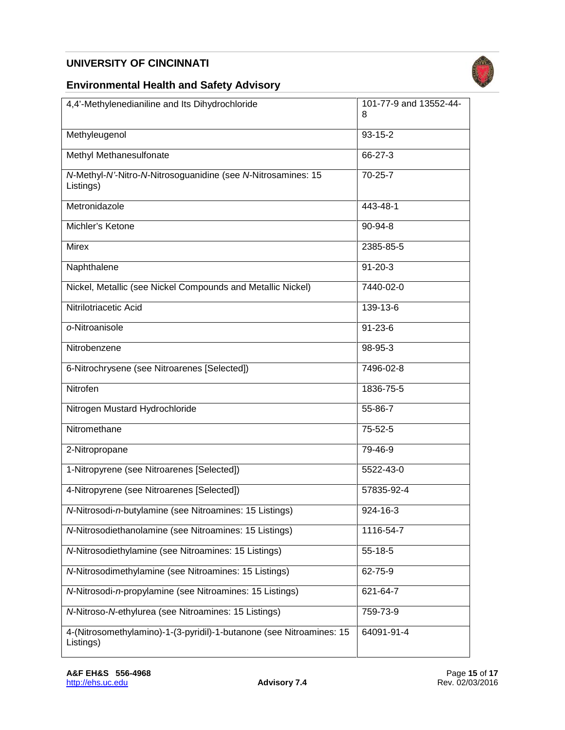## **UNIVERSITY OF CINCINNATI**



#### **Environmental Health and Safety Advisory**

| 4,4'-Methylenedianiline and Its Dihydrochloride                                   | 101-77-9 and 13552-44-<br>8 |
|-----------------------------------------------------------------------------------|-----------------------------|
| Methyleugenol                                                                     | $93 - 15 - 2$               |
| Methyl Methanesulfonate                                                           | 66-27-3                     |
| N-Methyl-N'-Nitro-N-Nitrosoguanidine (see N-Nitrosamines: 15<br>Listings)         | 70-25-7                     |
| Metronidazole                                                                     | 443-48-1                    |
| Michler's Ketone                                                                  | 90-94-8                     |
| <b>Mirex</b>                                                                      | 2385-85-5                   |
| Naphthalene                                                                       | $91 - 20 - 3$               |
| Nickel, Metallic (see Nickel Compounds and Metallic Nickel)                       | 7440-02-0                   |
| Nitrilotriacetic Acid                                                             | 139-13-6                    |
| o-Nitroanisole                                                                    | $91 - 23 - 6$               |
| Nitrobenzene                                                                      | 98-95-3                     |
| 6-Nitrochrysene (see Nitroarenes [Selected])                                      | 7496-02-8                   |
| Nitrofen                                                                          | 1836-75-5                   |
| Nitrogen Mustard Hydrochloride                                                    | 55-86-7                     |
| Nitromethane                                                                      | 75-52-5                     |
| 2-Nitropropane                                                                    | 79-46-9                     |
| 1-Nitropyrene (see Nitroarenes [Selected])                                        | 5522-43-0                   |
| 4-Nitropyrene (see Nitroarenes [Selected])                                        | 57835-92-4                  |
| N-Nitrosodi-n-butylamine (see Nitroamines: 15 Listings)                           | 924-16-3                    |
| /V-Nitrosodiethanolamine (see Nitroamines: 15 Listings)                           | 1116-54-7                   |
| N-Nitrosodiethylamine (see Nitroamines: 15 Listings)                              | 55-18-5                     |
| /V-Nitrosodimethylamine (see Nitroamines: 15 Listings)                            | 62-75-9                     |
| N-Nitrosodi-n-propylamine (see Nitroamines: 15 Listings)                          | 621-64-7                    |
| N-Nitroso-N-ethylurea (see Nitroamines: 15 Listings)                              | 759-73-9                    |
| 4-(Nitrosomethylamino)-1-(3-pyridil)-1-butanone (see Nitroamines: 15<br>Listings) | 64091-91-4                  |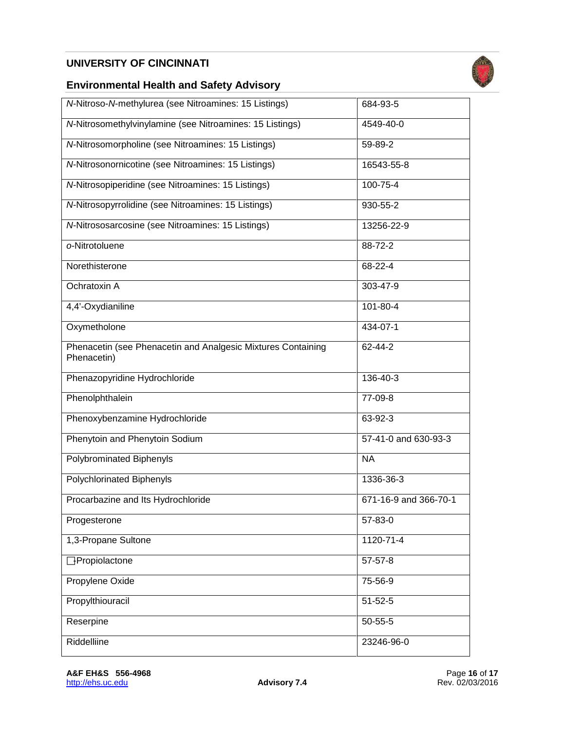## **UNIVERSITY OF CINCINNATI**



#### **Environmental Health and Safety Advisory**

| N-Nitroso-N-methylurea (see Nitroamines: 15 Listings)                       | 684-93-5              |
|-----------------------------------------------------------------------------|-----------------------|
| /V-Nitrosomethylvinylamine (see Nitroamines: 15 Listings)                   | 4549-40-0             |
| N-Nitrosomorpholine (see Nitroamines: 15 Listings)                          | 59-89-2               |
| <b>N-Nitrosonornicotine (see Nitroamines: 15 Listings)</b>                  | 16543-55-8            |
| <b>N-Nitrosopiperidine (see Nitroamines: 15 Listings)</b>                   | 100-75-4              |
| <b>N-Nitrosopyrrolidine (see Nitroamines: 15 Listings)</b>                  | 930-55-2              |
| <b>N-Nitrososarcosine (see Nitroamines: 15 Listings)</b>                    | 13256-22-9            |
| o-Nitrotoluene                                                              | 88-72-2               |
| Norethisterone                                                              | 68-22-4               |
| Ochratoxin A                                                                | 303-47-9              |
| 4,4'-Oxydianiline                                                           | 101-80-4              |
| Oxymetholone                                                                | 434-07-1              |
| Phenacetin (see Phenacetin and Analgesic Mixtures Containing<br>Phenacetin) | 62-44-2               |
| Phenazopyridine Hydrochloride                                               | 136-40-3              |
| Phenolphthalein                                                             | 77-09-8               |
| Phenoxybenzamine Hydrochloride                                              | 63-92-3               |
| Phenytoin and Phenytoin Sodium                                              | 57-41-0 and 630-93-3  |
| Polybrominated Biphenyls                                                    | <b>NA</b>             |
| Polychlorinated Biphenyls                                                   | 1336-36-3             |
| Procarbazine and Its Hydrochloride                                          | 671-16-9 and 366-70-1 |
| Progesterone                                                                | 57-83-0               |
| 1,3-Propane Sultone                                                         | 1120-71-4             |
| <b>Propiolactone</b>                                                        | $57 - 57 - 8$         |
| Propylene Oxide                                                             | 75-56-9               |
| Propylthiouracil                                                            | $51 - 52 - 5$         |
| Reserpine                                                                   | $50 - 55 - 5$         |
| Riddelliine                                                                 | 23246-96-0            |